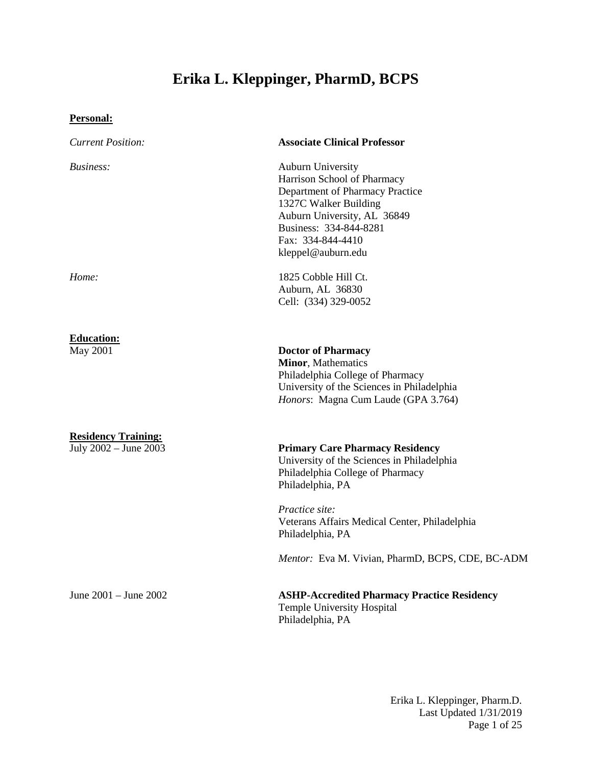# **Erika L. Kleppinger, PharmD, BCPS**

# **Personal:**

| <b>Current Position:</b>                            | <b>Associate Clinical Professor</b>                                                                                                                                                                                                                                                     |
|-----------------------------------------------------|-----------------------------------------------------------------------------------------------------------------------------------------------------------------------------------------------------------------------------------------------------------------------------------------|
| Business:                                           | Auburn University<br>Harrison School of Pharmacy<br>Department of Pharmacy Practice<br>1327C Walker Building<br>Auburn University, AL 36849<br>Business: 334-844-8281<br>Fax: 334-844-4410<br>kleppel@auburn.edu                                                                        |
| Home:                                               | 1825 Cobble Hill Ct.<br>Auburn, AL 36830<br>Cell: (334) 329-0052                                                                                                                                                                                                                        |
| <b>Education:</b><br>May 2001                       | <b>Doctor of Pharmacy</b><br><b>Minor, Mathematics</b><br>Philadelphia College of Pharmacy<br>University of the Sciences in Philadelphia<br>Honors: Magna Cum Laude (GPA 3.764)                                                                                                         |
| <b>Residency Training:</b><br>July 2002 - June 2003 | <b>Primary Care Pharmacy Residency</b><br>University of the Sciences in Philadelphia<br>Philadelphia College of Pharmacy<br>Philadelphia, PA<br>Practice site:<br>Veterans Affairs Medical Center, Philadelphia<br>Philadelphia, PA<br>Mentor: Eva M. Vivian, PharmD, BCPS, CDE, BC-ADM |
| June 2001 - June 2002                               | <b>ASHP-Accredited Pharmacy Practice Residency</b><br><b>Temple University Hospital</b><br>Philadelphia, PA                                                                                                                                                                             |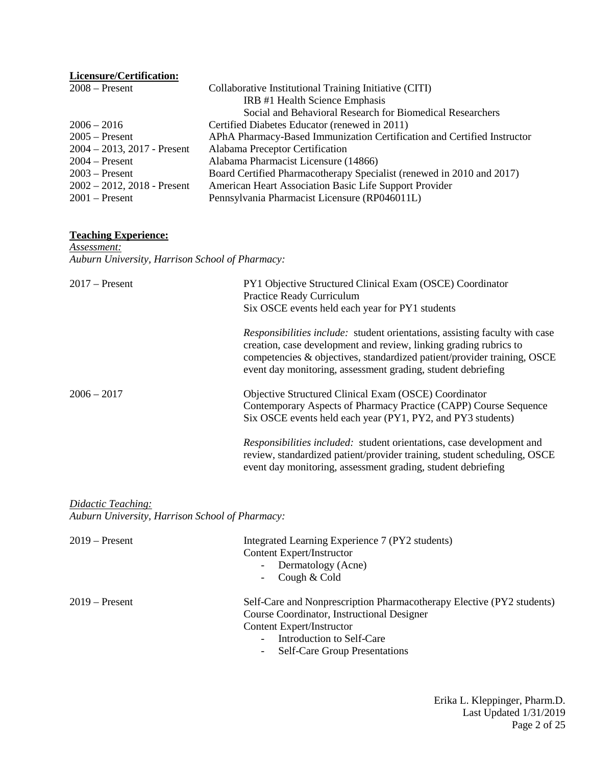| Collaborative Institutional Training Initiative (CITI)                  |
|-------------------------------------------------------------------------|
| IRB #1 Health Science Emphasis                                          |
| Social and Behavioral Research for Biomedical Researchers               |
| Certified Diabetes Educator (renewed in 2011)                           |
| APhA Pharmacy-Based Immunization Certification and Certified Instructor |
| Alabama Preceptor Certification                                         |
| Alabama Pharmacist Licensure (14866)                                    |
| Board Certified Pharmacotherapy Specialist (renewed in 2010 and 2017)   |
| American Heart Association Basic Life Support Provider                  |
| Pennsylvania Pharmacist Licensure (RP046011L)                           |
|                                                                         |

# **Teaching Experience:**

*Assessment: Auburn University, Harrison School of Pharmacy:*

| $2017$ – Present | PY1 Objective Structured Clinical Exam (OSCE) Coordinator<br>Practice Ready Curriculum<br>Six OSCE events held each year for PY1 students                                                                                                                                                          |
|------------------|----------------------------------------------------------------------------------------------------------------------------------------------------------------------------------------------------------------------------------------------------------------------------------------------------|
|                  | <i>Responsibilities include:</i> student orientations, assisting faculty with case<br>creation, case development and review, linking grading rubrics to<br>competencies & objectives, standardized patient/provider training, OSCE<br>event day monitoring, assessment grading, student debriefing |
| $2006 - 2017$    | Objective Structured Clinical Exam (OSCE) Coordinator<br>Contemporary Aspects of Pharmacy Practice (CAPP) Course Sequence<br>Six OSCE events held each year (PY1, PY2, and PY3 students)                                                                                                           |
|                  | <i>Responsibilities included:</i> student orientations, case development and<br>review, standardized patient/provider training, student scheduling, OSCE<br>event day monitoring, assessment grading, student debriefing                                                                           |

*Didactic Teaching: Auburn University, Harrison School of Pharmacy:*

| $2019$ – Present | Integrated Learning Experience 7 (PY2 students)<br>Content Expert/Instructor<br>- Dermatology (Acne)<br>Cough & Cold<br>$\sim$                                                                                                                           |
|------------------|----------------------------------------------------------------------------------------------------------------------------------------------------------------------------------------------------------------------------------------------------------|
| $2019$ – Present | Self-Care and Nonprescription Pharmacotherapy Elective (PY2 students)<br>Course Coordinator, Instructional Designer<br>Content Expert/Instructor<br>Introduction to Self-Care<br>$-$<br><b>Self-Care Group Presentations</b><br>$\overline{\phantom{a}}$ |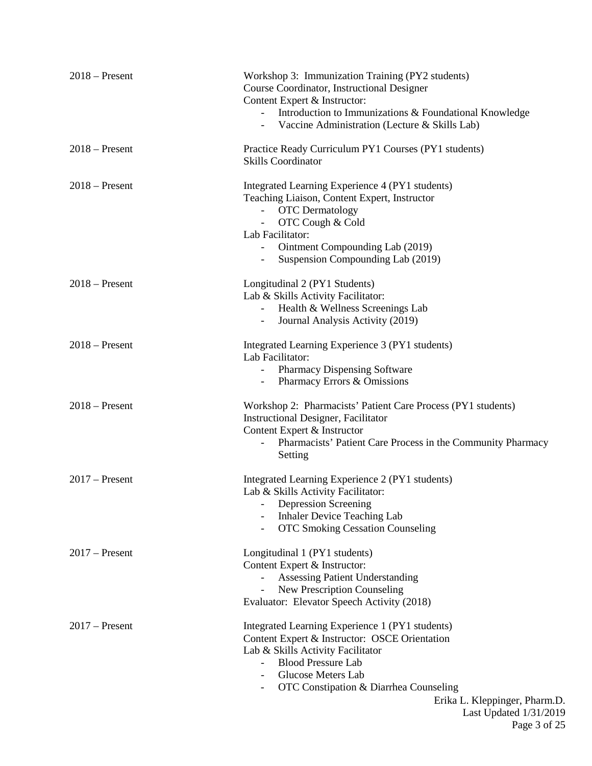| $2018$ – Present | Workshop 3: Immunization Training (PY2 students)<br>Course Coordinator, Instructional Designer<br>Content Expert & Instructor:<br>- Introduction to Immunizations & Foundational Knowledge<br>- Vaccine Administration (Lecture & Skills Lab)                                                                                    |
|------------------|----------------------------------------------------------------------------------------------------------------------------------------------------------------------------------------------------------------------------------------------------------------------------------------------------------------------------------|
| $2018$ – Present | Practice Ready Curriculum PY1 Courses (PY1 students)<br><b>Skills Coordinator</b>                                                                                                                                                                                                                                                |
| $2018$ – Present | Integrated Learning Experience 4 (PY1 students)<br>Teaching Liaison, Content Expert, Instructor<br><b>OTC</b> Dermatology<br>A.<br>OTC Cough & Cold<br>Lab Facilitator:<br>Ointment Compounding Lab (2019)<br>Suspension Compounding Lab (2019)                                                                                  |
| $2018 -$ Present | Longitudinal 2 (PY1 Students)<br>Lab & Skills Activity Facilitator:<br>Health & Wellness Screenings Lab<br>$\sim$<br>Journal Analysis Activity (2019)<br>$\sim$ 10 $\pm$                                                                                                                                                         |
| $2018$ – Present | Integrated Learning Experience 3 (PY1 students)<br>Lab Facilitator:<br>Pharmacy Dispensing Software<br>Pharmacy Errors & Omissions<br>$\sim 100$                                                                                                                                                                                 |
| $2018$ – Present | Workshop 2: Pharmacists' Patient Care Process (PY1 students)<br><b>Instructional Designer, Facilitator</b><br>Content Expert & Instructor<br>Pharmacists' Patient Care Process in the Community Pharmacy<br>Setting                                                                                                              |
| $2017$ – Present | Integrated Learning Experience 2 (PY1 students)<br>Lab & Skills Activity Facilitator:<br><b>Depression Screening</b><br><b>Inhaler Device Teaching Lab</b><br><b>OTC Smoking Cessation Counseling</b><br>$\overline{\phantom{a}}$                                                                                                |
| $2017$ – Present | Longitudinal 1 (PY1 students)<br>Content Expert & Instructor:<br><b>Assessing Patient Understanding</b><br>New Prescription Counseling<br>Evaluator: Elevator Speech Activity (2018)                                                                                                                                             |
| $2017$ – Present | Integrated Learning Experience 1 (PY1 students)<br>Content Expert & Instructor: OSCE Orientation<br>Lab & Skills Activity Facilitator<br><b>Blood Pressure Lab</b><br>$\sim$ 10 $\pm$<br>Glucose Meters Lab<br>OTC Constipation & Diarrhea Counseling<br>Erika L. Kleppinger, Pharm.D.<br>Last Updated 1/31/2019<br>Page 3 of 25 |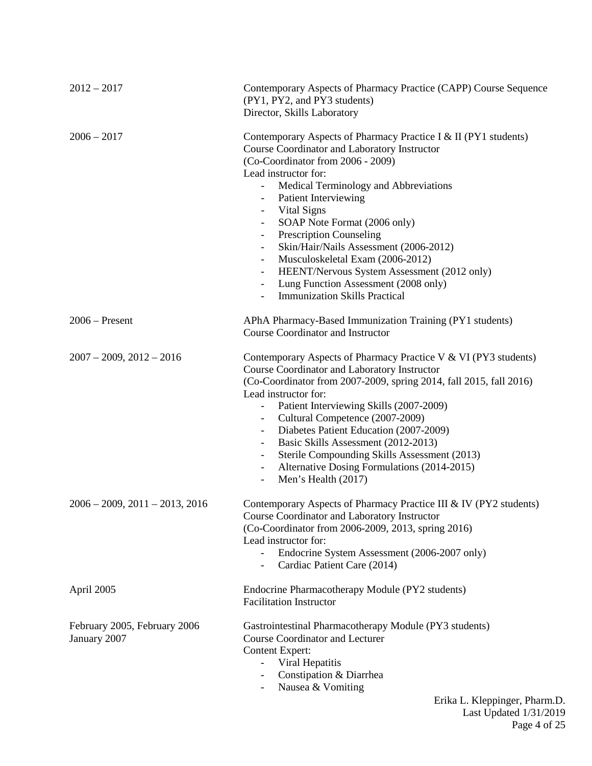| $2012 - 2017$                                | Contemporary Aspects of Pharmacy Practice (CAPP) Course Sequence<br>(PY1, PY2, and PY3 students)<br>Director, Skills Laboratory                                                                                                                                                                                                                                                                                                                                                                                                                                                                                                                                                                                            |
|----------------------------------------------|----------------------------------------------------------------------------------------------------------------------------------------------------------------------------------------------------------------------------------------------------------------------------------------------------------------------------------------------------------------------------------------------------------------------------------------------------------------------------------------------------------------------------------------------------------------------------------------------------------------------------------------------------------------------------------------------------------------------------|
| $2006 - 2017$                                | Contemporary Aspects of Pharmacy Practice I & II (PY1 students)<br>Course Coordinator and Laboratory Instructor<br>(Co-Coordinator from 2006 - 2009)<br>Lead instructor for:<br>Medical Terminology and Abbreviations<br><b>Patient Interviewing</b><br>$\overline{\phantom{a}}$<br>Vital Signs<br>$\overline{\phantom{a}}$<br>SOAP Note Format (2006 only)<br>$\overline{\phantom{a}}$<br><b>Prescription Counseling</b><br>$\overline{\phantom{a}}$<br>Skin/Hair/Nails Assessment (2006-2012)<br>Musculoskeletal Exam (2006-2012)<br>HEENT/Nervous System Assessment (2012 only)<br>$\overline{\phantom{a}}$<br>Lung Function Assessment (2008 only)<br>$\overline{\phantom{a}}$<br><b>Immunization Skills Practical</b> |
| $2006$ – Present                             | APhA Pharmacy-Based Immunization Training (PY1 students)<br><b>Course Coordinator and Instructor</b>                                                                                                                                                                                                                                                                                                                                                                                                                                                                                                                                                                                                                       |
| $2007 - 2009$ , $2012 - 2016$                | Contemporary Aspects of Pharmacy Practice V & VI (PY3 students)<br>Course Coordinator and Laboratory Instructor<br>(Co-Coordinator from 2007-2009, spring 2014, fall 2015, fall 2016)<br>Lead instructor for:<br>Patient Interviewing Skills (2007-2009)<br>$\qquad \qquad -$<br>Cultural Competence (2007-2009)<br>$\overline{\phantom{a}}$<br>Diabetes Patient Education (2007-2009)<br>$\overline{\phantom{a}}$<br>Basic Skills Assessment (2012-2013)<br>$\overline{\phantom{a}}$<br>Sterile Compounding Skills Assessment (2013)<br>$\overline{\phantom{a}}$<br>Alternative Dosing Formulations (2014-2015)<br>Men's Health (2017)                                                                                    |
| $2006 - 2009$ , $2011 - 2013$ , $2016$       | Contemporary Aspects of Pharmacy Practice III & IV (PY2 students)<br>Course Coordinator and Laboratory Instructor<br>(Co-Coordinator from 2006-2009, 2013, spring 2016)<br>Lead instructor for:<br>Endocrine System Assessment (2006-2007 only)<br>$\overline{\phantom{a}}$<br>Cardiac Patient Care (2014)<br>$\overline{\phantom{a}}$                                                                                                                                                                                                                                                                                                                                                                                     |
| April 2005                                   | Endocrine Pharmacotherapy Module (PY2 students)<br><b>Facilitation Instructor</b>                                                                                                                                                                                                                                                                                                                                                                                                                                                                                                                                                                                                                                          |
| February 2005, February 2006<br>January 2007 | Gastrointestinal Pharmacotherapy Module (PY3 students)<br><b>Course Coordinator and Lecturer</b><br><b>Content Expert:</b><br>Viral Hepatitis<br>$\overline{\phantom{a}}$<br>Constipation & Diarrhea<br>Nausea & Vomiting<br>$Eriko I$ $Vlonningor Dhorr$                                                                                                                                                                                                                                                                                                                                                                                                                                                                  |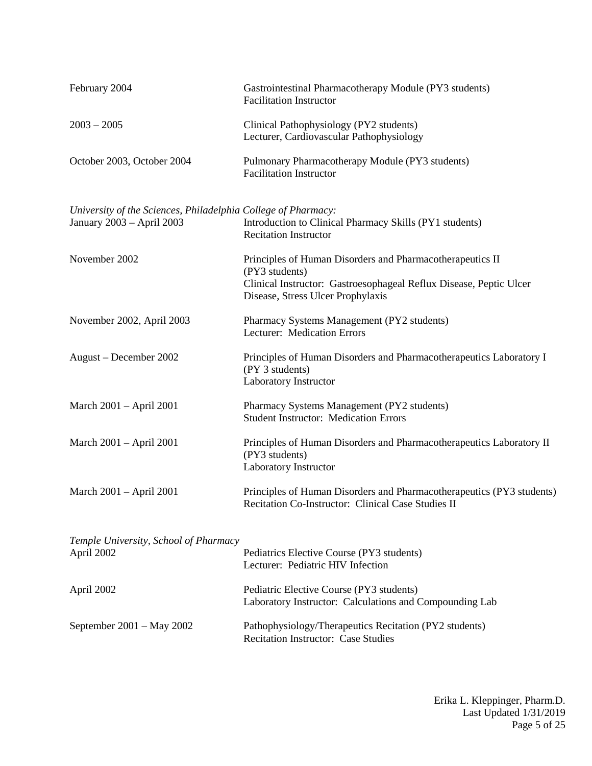| February 2004                                                                              | Gastrointestinal Pharmacotherapy Module (PY3 students)<br><b>Facilitation Instructor</b>                                                                                               |
|--------------------------------------------------------------------------------------------|----------------------------------------------------------------------------------------------------------------------------------------------------------------------------------------|
| $2003 - 2005$                                                                              | Clinical Pathophysiology (PY2 students)<br>Lecturer, Cardiovascular Pathophysiology                                                                                                    |
| October 2003, October 2004                                                                 | Pulmonary Pharmacotherapy Module (PY3 students)<br><b>Facilitation Instructor</b>                                                                                                      |
| University of the Sciences, Philadelphia College of Pharmacy:<br>January 2003 - April 2003 | Introduction to Clinical Pharmacy Skills (PY1 students)<br><b>Recitation Instructor</b>                                                                                                |
| November 2002                                                                              | Principles of Human Disorders and Pharmacotherapeutics II<br>(PY3 students)<br>Clinical Instructor: Gastroesophageal Reflux Disease, Peptic Ulcer<br>Disease, Stress Ulcer Prophylaxis |
| November 2002, April 2003                                                                  | Pharmacy Systems Management (PY2 students)<br>Lecturer: Medication Errors                                                                                                              |
| August – December 2002                                                                     | Principles of Human Disorders and Pharmacotherapeutics Laboratory I<br>(PY 3 students)<br>Laboratory Instructor                                                                        |
| March 2001 – April 2001                                                                    | Pharmacy Systems Management (PY2 students)<br><b>Student Instructor: Medication Errors</b>                                                                                             |
| March 2001 – April 2001                                                                    | Principles of Human Disorders and Pharmacotherapeutics Laboratory II<br>(PY3 students)<br>Laboratory Instructor                                                                        |
| March 2001 – April 2001                                                                    | Principles of Human Disorders and Pharmacotherapeutics (PY3 students)<br>Recitation Co-Instructor: Clinical Case Studies II                                                            |
| Temple University, School of Pharmacy<br>April 2002                                        | Pediatrics Elective Course (PY3 students)<br>Lecturer: Pediatric HIV Infection                                                                                                         |
| April 2002                                                                                 | Pediatric Elective Course (PY3 students)<br>Laboratory Instructor: Calculations and Compounding Lab                                                                                    |
| September $2001 - May 2002$                                                                | Pathophysiology/Therapeutics Recitation (PY2 students)<br><b>Recitation Instructor: Case Studies</b>                                                                                   |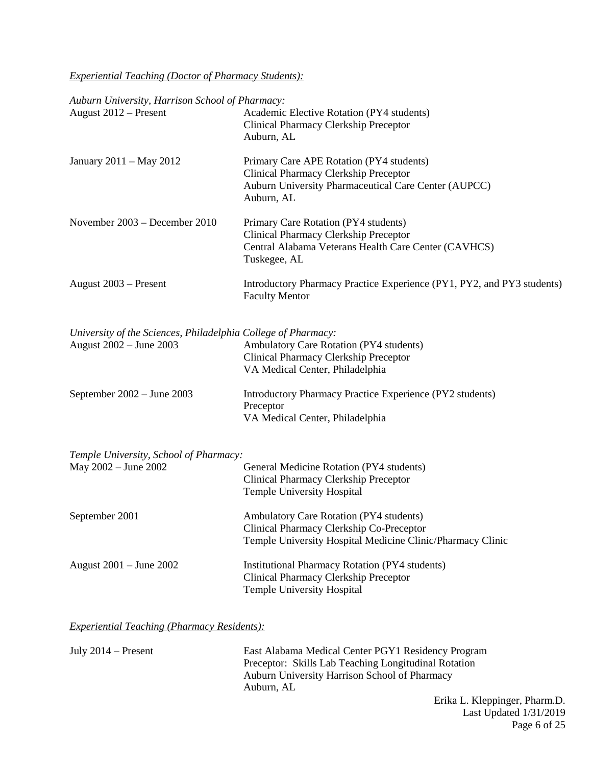*Experiential Teaching (Doctor of Pharmacy Students):*

|  |  | Auburn University, Harrison School of Pharmacy: |
|--|--|-------------------------------------------------|
|  |  |                                                 |

| August 2012 - Present                                                                    | Academic Elective Rotation (PY4 students)<br>Clinical Pharmacy Clerkship Preceptor<br>Auburn, AL                                                         |
|------------------------------------------------------------------------------------------|----------------------------------------------------------------------------------------------------------------------------------------------------------|
| January 2011 - May 2012                                                                  | Primary Care APE Rotation (PY4 students)<br>Clinical Pharmacy Clerkship Preceptor<br>Auburn University Pharmaceutical Care Center (AUPCC)<br>Auburn, AL  |
| November 2003 - December 2010                                                            | Primary Care Rotation (PY4 students)<br>Clinical Pharmacy Clerkship Preceptor<br>Central Alabama Veterans Health Care Center (CAVHCS)<br>Tuskegee, AL    |
| August 2003 – Present                                                                    | Introductory Pharmacy Practice Experience (PY1, PY2, and PY3 students)<br><b>Faculty Mentor</b>                                                          |
| University of the Sciences, Philadelphia College of Pharmacy:<br>August 2002 - June 2003 | Ambulatory Care Rotation (PY4 students)<br><b>Clinical Pharmacy Clerkship Preceptor</b><br>VA Medical Center, Philadelphia                               |
| September $2002 -$ June $2003$                                                           | Introductory Pharmacy Practice Experience (PY2 students)<br>Preceptor<br>VA Medical Center, Philadelphia                                                 |
| Temple University, School of Pharmacy:                                                   |                                                                                                                                                          |
| May 2002 - June 2002                                                                     | General Medicine Rotation (PY4 students)<br>Clinical Pharmacy Clerkship Preceptor<br><b>Temple University Hospital</b>                                   |
| September 2001                                                                           | <b>Ambulatory Care Rotation (PY4 students)</b><br>Clinical Pharmacy Clerkship Co-Preceptor<br>Temple University Hospital Medicine Clinic/Pharmacy Clinic |
| August 2001 – June 2002                                                                  | <b>Institutional Pharmacy Rotation (PY4 students)</b><br><b>Clinical Pharmacy Clerkship Preceptor</b><br><b>Temple University Hospital</b>               |
|                                                                                          |                                                                                                                                                          |

# *Experiential Teaching (Pharmacy Residents):*

| East Alabama Medical Center PGY1 Residency Program   |
|------------------------------------------------------|
| Preceptor: Skills Lab Teaching Longitudinal Rotation |
| Auburn University Harrison School of Pharmacy        |
| Auburn, AL                                           |
|                                                      |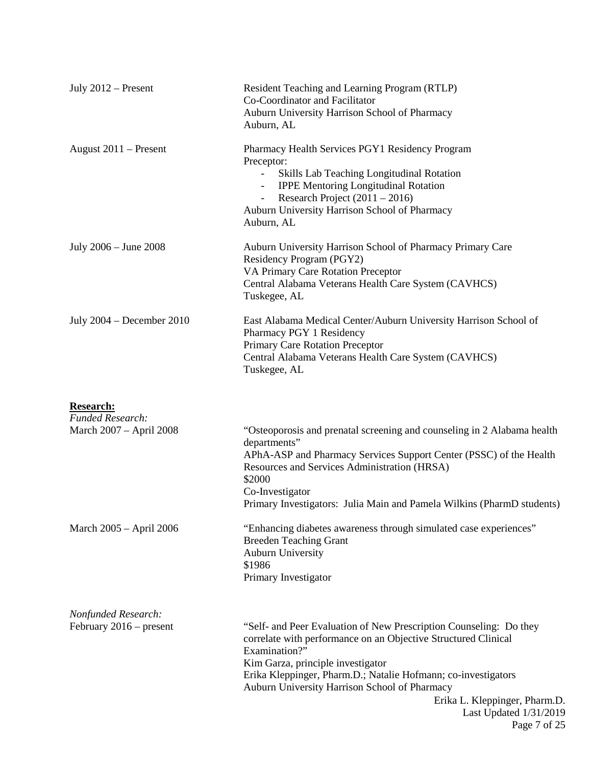| July $2012$ – Present                            | Resident Teaching and Learning Program (RTLP)<br>Co-Coordinator and Facilitator<br>Auburn University Harrison School of Pharmacy<br>Auburn, AL                                                                                                                                                                                                                                          |
|--------------------------------------------------|-----------------------------------------------------------------------------------------------------------------------------------------------------------------------------------------------------------------------------------------------------------------------------------------------------------------------------------------------------------------------------------------|
| August $2011$ – Present                          | Pharmacy Health Services PGY1 Residency Program<br>Preceptor:<br>Skills Lab Teaching Longitudinal Rotation<br><b>IPPE Mentoring Longitudinal Rotation</b><br>$\overline{\phantom{a}}$<br>Research Project $(2011 – 2016)$<br>$\overline{\phantom{a}}$<br>Auburn University Harrison School of Pharmacy<br>Auburn, AL                                                                    |
| July 2006 – June 2008                            | Auburn University Harrison School of Pharmacy Primary Care<br>Residency Program (PGY2)<br>VA Primary Care Rotation Preceptor<br>Central Alabama Veterans Health Care System (CAVHCS)<br>Tuskegee, AL                                                                                                                                                                                    |
| July $2004 - December 2010$                      | East Alabama Medical Center/Auburn University Harrison School of<br>Pharmacy PGY 1 Residency<br>Primary Care Rotation Preceptor<br>Central Alabama Veterans Health Care System (CAVHCS)<br>Tuskegee, AL                                                                                                                                                                                 |
| <b>Research:</b><br>Funded Research:             |                                                                                                                                                                                                                                                                                                                                                                                         |
| March 2007 - April 2008                          | "Osteoporosis and prenatal screening and counseling in 2 Alabama health<br>departments"<br>APhA-ASP and Pharmacy Services Support Center (PSSC) of the Health<br>Resources and Services Administration (HRSA)<br>\$2000<br>Co-Investigator<br>Primary Investigators: Julia Main and Pamela Wilkins (PharmD students)                                                                    |
| March 2005 - April 2006                          | "Enhancing diabetes awareness through simulated case experiences"<br><b>Breeden Teaching Grant</b><br><b>Auburn University</b><br>\$1986<br>Primary Investigator                                                                                                                                                                                                                        |
| Nonfunded Research:<br>February $2016$ – present | "Self- and Peer Evaluation of New Prescription Counseling: Do they<br>correlate with performance on an Objective Structured Clinical<br>Examination?"<br>Kim Garza, principle investigator<br>Erika Kleppinger, Pharm.D.; Natalie Hofmann; co-investigators<br>Auburn University Harrison School of Pharmacy<br>Erika L. Kleppinger, Pharm.D.<br>Last Updated 1/31/2019<br>Page 7 of 25 |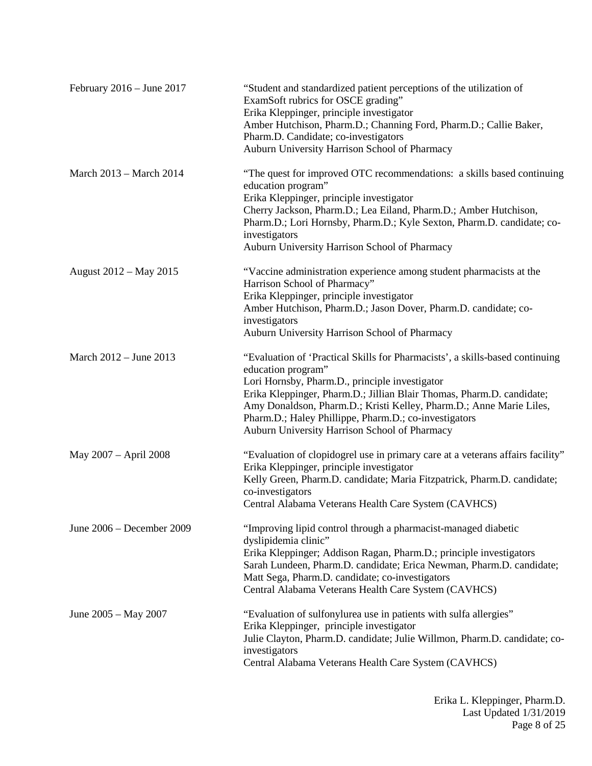| February $2016 -$ June $2017$ | "Student and standardized patient perceptions of the utilization of<br>ExamSoft rubrics for OSCE grading"<br>Erika Kleppinger, principle investigator<br>Amber Hutchison, Pharm.D.; Channing Ford, Pharm.D.; Callie Baker,<br>Pharm.D. Candidate; co-investigators<br>Auburn University Harrison School of Pharmacy                                                                                            |
|-------------------------------|----------------------------------------------------------------------------------------------------------------------------------------------------------------------------------------------------------------------------------------------------------------------------------------------------------------------------------------------------------------------------------------------------------------|
| March 2013 – March 2014       | "The quest for improved OTC recommendations: a skills based continuing<br>education program"<br>Erika Kleppinger, principle investigator<br>Cherry Jackson, Pharm.D.; Lea Eiland, Pharm.D.; Amber Hutchison,<br>Pharm.D.; Lori Hornsby, Pharm.D.; Kyle Sexton, Pharm.D. candidate; co-<br>investigators<br>Auburn University Harrison School of Pharmacy                                                       |
| August 2012 – May 2015        | "Vaccine administration experience among student pharmacists at the<br>Harrison School of Pharmacy"<br>Erika Kleppinger, principle investigator<br>Amber Hutchison, Pharm.D.; Jason Dover, Pharm.D. candidate; co-<br>investigators<br>Auburn University Harrison School of Pharmacy                                                                                                                           |
| March $2012 -$ June $2013$    | "Evaluation of 'Practical Skills for Pharmacists', a skills-based continuing<br>education program"<br>Lori Hornsby, Pharm.D., principle investigator<br>Erika Kleppinger, Pharm.D.; Jillian Blair Thomas, Pharm.D. candidate;<br>Amy Donaldson, Pharm.D.; Kristi Kelley, Pharm.D.; Anne Marie Liles,<br>Pharm.D.; Haley Phillippe, Pharm.D.; co-investigators<br>Auburn University Harrison School of Pharmacy |
| May 2007 - April 2008         | "Evaluation of clopidogrel use in primary care at a veterans affairs facility"<br>Erika Kleppinger, principle investigator<br>Kelly Green, Pharm.D. candidate; Maria Fitzpatrick, Pharm.D. candidate;<br>co-investigators<br>Central Alabama Veterans Health Care System (CAVHCS)                                                                                                                              |
| June 2006 - December 2009     | "Improving lipid control through a pharmacist-managed diabetic<br>dyslipidemia clinic"<br>Erika Kleppinger; Addison Ragan, Pharm.D.; principle investigators<br>Sarah Lundeen, Pharm.D. candidate; Erica Newman, Pharm.D. candidate;<br>Matt Sega, Pharm.D. candidate; co-investigators<br>Central Alabama Veterans Health Care System (CAVHCS)                                                                |
| June 2005 - May 2007          | "Evaluation of sulfonylurea use in patients with sulfa allergies"<br>Erika Kleppinger, principle investigator<br>Julie Clayton, Pharm.D. candidate; Julie Willmon, Pharm.D. candidate; co-<br>investigators<br>Central Alabama Veterans Health Care System (CAVHCS)                                                                                                                                            |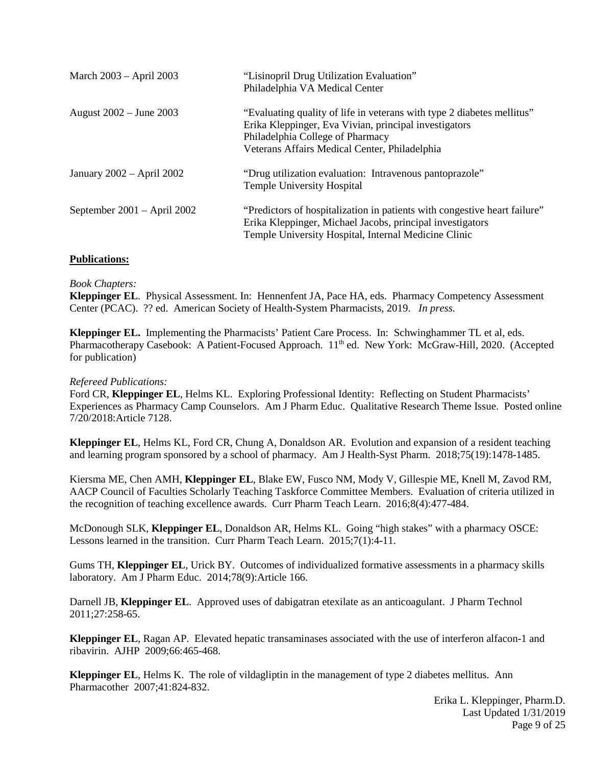| March 2003 - April 2003       | "Lisinopril Drug Utilization Evaluation"<br>Philadelphia VA Medical Center                                                                                                                                           |
|-------------------------------|----------------------------------------------------------------------------------------------------------------------------------------------------------------------------------------------------------------------|
| August 2002 – June 2003       | "Evaluating quality of life in veterans with type 2 diabetes mellitus"<br>Erika Kleppinger, Eva Vivian, principal investigators<br>Philadelphia College of Pharmacy<br>Veterans Affairs Medical Center, Philadelphia |
| January 2002 - April 2002     | "Drug utilization evaluation: Intravenous pantoprazole"<br><b>Temple University Hospital</b>                                                                                                                         |
| September $2001 -$ April 2002 | "Predictors of hospitalization in patients with congestive heart failure"<br>Erika Kleppinger, Michael Jacobs, principal investigators<br>Temple University Hospital, Internal Medicine Clinic                       |

## **Publications:**

## *Book Chapters:*

**Kleppinger EL**. Physical Assessment. In: Hennenfent JA, Pace HA, eds. Pharmacy Competency Assessment Center (PCAC). ?? ed. American Society of Health-System Pharmacists, 2019. *In press.*

**Kleppinger EL.** Implementing the Pharmacists' Patient Care Process. In: Schwinghammer TL et al, eds. Pharmacotherapy Casebook: A Patient-Focused Approach. 11<sup>th</sup> ed. New York: McGraw-Hill, 2020. (Accepted for publication)

#### *Refereed Publications:*

Ford CR, **Kleppinger EL**, Helms KL. Exploring Professional Identity: Reflecting on Student Pharmacists' Experiences as Pharmacy Camp Counselors. Am J Pharm Educ. Qualitative Research Theme Issue. Posted online 7/20/2018:Article 7128.

**Kleppinger EL**, Helms KL, Ford CR, Chung A, Donaldson AR. Evolution and expansion of a resident teaching and learning program sponsored by a school of pharmacy. Am J Health-Syst Pharm. 2018;75(19):1478-1485.

Kiersma ME, Chen AMH, **Kleppinger EL**, Blake EW, Fusco NM, Mody V, Gillespie ME, Knell M, Zavod RM, AACP Council of Faculties Scholarly Teaching Taskforce Committee Members. Evaluation of criteria utilized in the recognition of teaching excellence awards. Curr Pharm Teach Learn. 2016;8(4):477-484.

McDonough SLK, **Kleppinger EL**, Donaldson AR, Helms KL. Going "high stakes" with a pharmacy OSCE: Lessons learned in the transition. Curr Pharm Teach Learn. 2015;7(1):4-11.

Gums TH, **Kleppinger EL**, Urick BY. Outcomes of individualized formative assessments in a pharmacy skills laboratory. Am J Pharm Educ. 2014;78(9):Article 166.

Darnell JB, **Kleppinger EL**. Approved uses of dabigatran etexilate as an anticoagulant. J Pharm Technol 2011;27:258-65.

**Kleppinger EL**, Ragan AP. Elevated hepatic transaminases associated with the use of interferon alfacon-1 and ribavirin. AJHP 2009;66:465-468.

**Kleppinger EL**, Helms K. The role of vildagliptin in the management of type 2 diabetes mellitus. Ann Pharmacother 2007;41:824-832.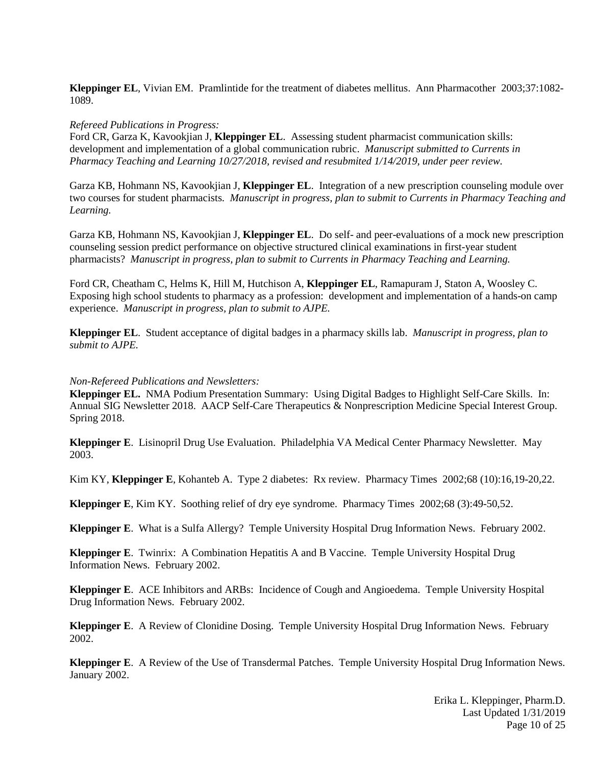**Kleppinger EL**, Vivian EM. Pramlintide for the treatment of diabetes mellitus. Ann Pharmacother 2003;37:1082- 1089.

#### *Refereed Publications in Progress:*

Ford CR, Garza K, Kavookjian J, **Kleppinger EL**. Assessing student pharmacist communication skills: development and implementation of a global communication rubric. *Manuscript submitted to Currents in Pharmacy Teaching and Learning 10/27/2018, revised and resubmited 1/14/2019, under peer review.*

Garza KB, Hohmann NS, Kavookjian J, **Kleppinger EL**. Integration of a new prescription counseling module over two courses for student pharmacists. *Manuscript in progress, plan to submit to Currents in Pharmacy Teaching and Learning.*

Garza KB, Hohmann NS, Kavookjian J, **Kleppinger EL**. Do self- and peer-evaluations of a mock new prescription counseling session predict performance on objective structured clinical examinations in first-year student pharmacists? *Manuscript in progress, plan to submit to Currents in Pharmacy Teaching and Learning.*

Ford CR, Cheatham C, Helms K, Hill M, Hutchison A, **Kleppinger EL**, Ramapuram J, Staton A, Woosley C. Exposing high school students to pharmacy as a profession: development and implementation of a hands-on camp experience. *Manuscript in progress, plan to submit to AJPE.*

**Kleppinger EL**. Student acceptance of digital badges in a pharmacy skills lab. *Manuscript in progress, plan to submit to AJPE.*

#### *Non-Refereed Publications and Newsletters:*

**Kleppinger EL.** NMA Podium Presentation Summary: Using Digital Badges to Highlight Self-Care Skills. In: Annual SIG Newsletter 2018. AACP Self-Care Therapeutics & Nonprescription Medicine Special Interest Group. Spring 2018.

**Kleppinger E**. Lisinopril Drug Use Evaluation. Philadelphia VA Medical Center Pharmacy Newsletter*.* May 2003.

Kim KY, **Kleppinger E**, Kohanteb A. Type 2 diabetes: Rx review. Pharmacy Times 2002;68 (10):16,19-20,22.

**Kleppinger E**, Kim KY. Soothing relief of dry eye syndrome. Pharmacy Times 2002;68 (3):49-50,52.

**Kleppinger E**. What is a Sulfa Allergy? Temple University Hospital Drug Information News. February 2002.

**Kleppinger E**. Twinrix: A Combination Hepatitis A and B Vaccine. Temple University Hospital Drug Information News. February 2002.

**Kleppinger E**. ACE Inhibitors and ARBs: Incidence of Cough and Angioedema. Temple University Hospital Drug Information News. February 2002.

**Kleppinger E**. A Review of Clonidine Dosing. Temple University Hospital Drug Information News. February 2002.

**Kleppinger E**. A Review of the Use of Transdermal Patches. Temple University Hospital Drug Information News. January 2002.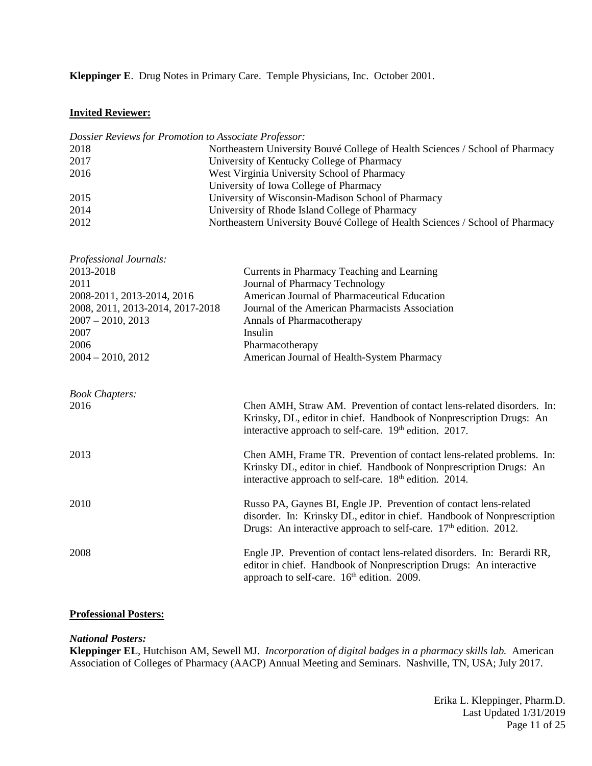**Kleppinger E**. Drug Notes in Primary Care. Temple Physicians, Inc. October 2001.

# **Invited Reviewer:**

| Dossier Reviews for Promotion to Associate Professor: |                                                                               |  |
|-------------------------------------------------------|-------------------------------------------------------------------------------|--|
| 2018                                                  | Northeastern University Bouvé College of Health Sciences / School of Pharmacy |  |
| 2017                                                  | University of Kentucky College of Pharmacy                                    |  |
| 2016                                                  | West Virginia University School of Pharmacy                                   |  |
|                                                       | University of Iowa College of Pharmacy                                        |  |
| 2015                                                  | University of Wisconsin-Madison School of Pharmacy                            |  |
| 2014                                                  | University of Rhode Island College of Pharmacy                                |  |
| 2012                                                  | Northeastern University Bouvé College of Health Sciences / School of Pharmacy |  |
|                                                       |                                                                               |  |
| Professional Journals:                                |                                                                               |  |
| 2013-2018                                             | Currents in Pharmacy Teaching and Learning                                    |  |
| 2011                                                  | Journal of Pharmacy Technology                                                |  |
| 2008-2011, 2013-2014, 2016                            | American Journal of Pharmaceutical Education                                  |  |
| 2008, 2011, 2013-2014, 2017-2018                      | Journal of the American Pharmacists Association                               |  |
| $2007 - 2010, 2013$                                   | Annals of Pharmacotherapy                                                     |  |
| 2007                                                  | Insulin                                                                       |  |
| 2006                                                  | Pharmacotherapy                                                               |  |
| $2004 - 2010, 2012$                                   | American Journal of Health-System Pharmacy                                    |  |
|                                                       |                                                                               |  |
| <b>Book Chapters:</b>                                 |                                                                               |  |
| 2016                                                  | Chen AMH, Straw AM. Prevention of contact lens-related disorders. In:         |  |
|                                                       | Krinsky, DL, editor in chief. Handbook of Nonprescription Drugs: An           |  |
|                                                       | interactive approach to self-care. 19th edition. 2017.                        |  |
| 2013                                                  | Chen AMH, Frame TR. Prevention of contact lens-related problems. In:          |  |
|                                                       | Krinsky DL, editor in chief. Handbook of Nonprescription Drugs: An            |  |
|                                                       | interactive approach to self-care. 18 <sup>th</sup> edition. 2014.            |  |
| 2010                                                  | Russo PA, Gaynes BI, Engle JP. Prevention of contact lens-related             |  |
|                                                       | disorder. In: Krinsky DL, editor in chief. Handbook of Nonprescription        |  |
|                                                       | Drugs: An interactive approach to self-care. 17 <sup>th</sup> edition. 2012.  |  |
| 2008                                                  | Engle JP. Prevention of contact lens-related disorders. In: Berardi RR,       |  |
|                                                       | editor in chief. Handbook of Nonprescription Drugs: An interactive            |  |
|                                                       | approach to self-care. 16 <sup>th</sup> edition. 2009.                        |  |
|                                                       |                                                                               |  |

# **Professional Posters:**

*National Posters:*

**Kleppinger EL**, Hutchison AM, Sewell MJ. *Incorporation of digital badges in a pharmacy skills lab.* American Association of Colleges of Pharmacy (AACP) Annual Meeting and Seminars. Nashville, TN, USA; July 2017.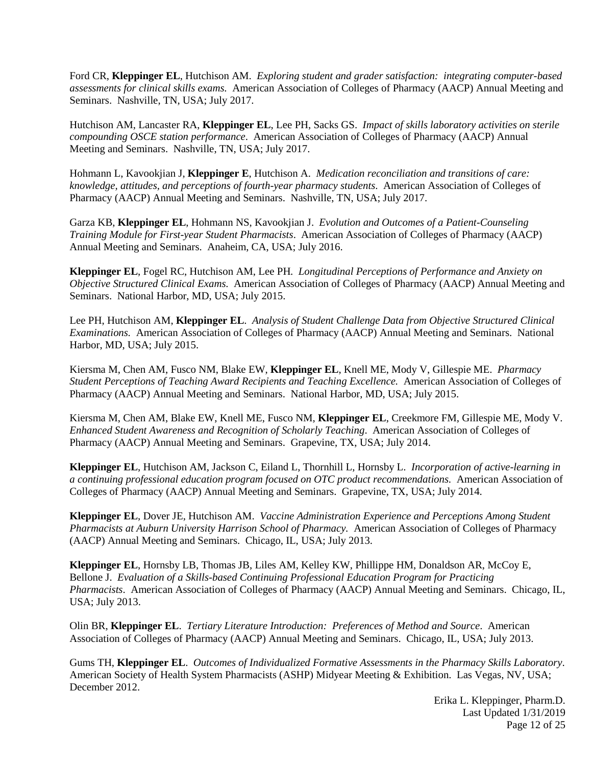Ford CR, **Kleppinger EL**, Hutchison AM. *Exploring student and grader satisfaction: integrating computer-based assessments for clinical skills exams.* American Association of Colleges of Pharmacy (AACP) Annual Meeting and Seminars. Nashville, TN, USA; July 2017.

Hutchison AM, Lancaster RA, **Kleppinger EL**, Lee PH, Sacks GS. *Impact of skills laboratory activities on sterile compounding OSCE station performance*. American Association of Colleges of Pharmacy (AACP) Annual Meeting and Seminars. Nashville, TN, USA; July 2017.

Hohmann L, Kavookjian J, **Kleppinger E**, Hutchison A. *Medication reconciliation and transitions of care: knowledge, attitudes, and perceptions of fourth-year pharmacy students*. American Association of Colleges of Pharmacy (AACP) Annual Meeting and Seminars. Nashville, TN, USA; July 2017.

Garza KB, **Kleppinger EL**, Hohmann NS, Kavookjian J. *Evolution and Outcomes of a Patient-Counseling Training Module for First-year Student Pharmacists*. American Association of Colleges of Pharmacy (AACP) Annual Meeting and Seminars. Anaheim, CA, USA; July 2016.

**Kleppinger EL**, Fogel RC, Hutchison AM, Lee PH*. Longitudinal Perceptions of Performance and Anxiety on Objective Structured Clinical Exams.* American Association of Colleges of Pharmacy (AACP) Annual Meeting and Seminars. National Harbor, MD, USA; July 2015.

Lee PH, Hutchison AM, **Kleppinger EL**. *Analysis of Student Challenge Data from Objective Structured Clinical Examinations.* American Association of Colleges of Pharmacy (AACP) Annual Meeting and Seminars. National Harbor, MD, USA; July 2015.

Kiersma M, Chen AM, Fusco NM, Blake EW, **Kleppinger EL**, Knell ME, Mody V, Gillespie ME. *Pharmacy Student Perceptions of Teaching Award Recipients and Teaching Excellence.* American Association of Colleges of Pharmacy (AACP) Annual Meeting and Seminars. National Harbor, MD, USA; July 2015.

Kiersma M, Chen AM, Blake EW, Knell ME, Fusco NM, **Kleppinger EL**, Creekmore FM, Gillespie ME, Mody V. *Enhanced Student Awareness and Recognition of Scholarly Teaching*. American Association of Colleges of Pharmacy (AACP) Annual Meeting and Seminars. Grapevine, TX, USA; July 2014.

**Kleppinger EL**, Hutchison AM, Jackson C, Eiland L, Thornhill L, Hornsby L. *Incorporation of active-learning in a continuing professional education program focused on OTC product recommendations.* American Association of Colleges of Pharmacy (AACP) Annual Meeting and Seminars. Grapevine, TX, USA; July 2014.

**Kleppinger EL**, Dover JE, Hutchison AM. *Vaccine Administration Experience and Perceptions Among Student Pharmacists at Auburn University Harrison School of Pharmacy.* American Association of Colleges of Pharmacy (AACP) Annual Meeting and Seminars. Chicago, IL, USA; July 2013.

**Kleppinger EL**, Hornsby LB, Thomas JB, Liles AM, Kelley KW, Phillippe HM, Donaldson AR, McCoy E, Bellone J. *Evaluation of a Skills-based Continuing Professional Education Program for Practicing Pharmacists*. American Association of Colleges of Pharmacy (AACP) Annual Meeting and Seminars. Chicago, IL, USA; July 2013.

Olin BR, **Kleppinger EL**. *Tertiary Literature Introduction: Preferences of Method and Source*. American Association of Colleges of Pharmacy (AACP) Annual Meeting and Seminars. Chicago, IL, USA; July 2013.

Gums TH, **Kleppinger EL**. *Outcomes of Individualized Formative Assessments in the Pharmacy Skills Laboratory*. American Society of Health System Pharmacists (ASHP) Midyear Meeting & Exhibition. Las Vegas, NV, USA; December 2012.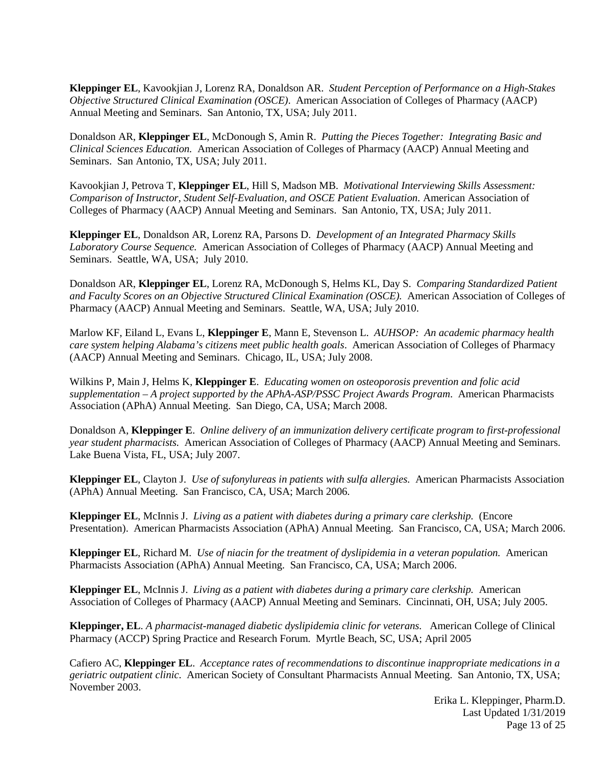**Kleppinger EL**, Kavookjian J, Lorenz RA, Donaldson AR. *Student Perception of Performance on a High-Stakes Objective Structured Clinical Examination (OSCE)*. American Association of Colleges of Pharmacy (AACP) Annual Meeting and Seminars. San Antonio, TX, USA; July 2011.

Donaldson AR, **Kleppinger EL**, McDonough S, Amin R. *Putting the Pieces Together: Integrating Basic and Clinical Sciences Education.* American Association of Colleges of Pharmacy (AACP) Annual Meeting and Seminars. San Antonio, TX, USA; July 2011.

Kavookjian J, Petrova T, **Kleppinger EL**, Hill S, Madson MB. *Motivational Interviewing Skills Assessment: Comparison of Instructor, Student Self-Evaluation, and OSCE Patient Evaluation*. American Association of Colleges of Pharmacy (AACP) Annual Meeting and Seminars. San Antonio, TX, USA; July 2011.

**Kleppinger EL**, Donaldson AR, Lorenz RA, Parsons D. *Development of an Integrated Pharmacy Skills Laboratory Course Sequence.* American Association of Colleges of Pharmacy (AACP) Annual Meeting and Seminars. Seattle, WA, USA; July 2010.

Donaldson AR, **Kleppinger EL**, Lorenz RA, McDonough S, Helms KL, Day S. *Comparing Standardized Patient and Faculty Scores on an Objective Structured Clinical Examination (OSCE).* American Association of Colleges of Pharmacy (AACP) Annual Meeting and Seminars. Seattle, WA, USA; July 2010.

Marlow KF, Eiland L, Evans L, **Kleppinger E**, Mann E, Stevenson L. *AUHSOP: An academic pharmacy health care system helping Alabama's citizens meet public health goals*. American Association of Colleges of Pharmacy (AACP) Annual Meeting and Seminars. Chicago, IL, USA; July 2008.

Wilkins P, Main J, Helms K, **Kleppinger E**. *Educating women on osteoporosis prevention and folic acid supplementation – A project supported by the APhA-ASP/PSSC Project Awards Program*. American Pharmacists Association (APhA) Annual Meeting. San Diego, CA, USA; March 2008.

Donaldson A, **Kleppinger E**. *Online delivery of an immunization delivery certificate program to first-professional year student pharmacists.* American Association of Colleges of Pharmacy (AACP) Annual Meeting and Seminars. Lake Buena Vista, FL, USA; July 2007.

**Kleppinger EL**, Clayton J. *Use of sufonylureas in patients with sulfa allergies.* American Pharmacists Association (APhA) Annual Meeting. San Francisco, CA, USA; March 2006.

**Kleppinger EL**, McInnis J. *Living as a patient with diabetes during a primary care clerkship.* (Encore Presentation). American Pharmacists Association (APhA) Annual Meeting. San Francisco, CA, USA; March 2006.

**Kleppinger EL**, Richard M. *Use of niacin for the treatment of dyslipidemia in a veteran population.* American Pharmacists Association (APhA) Annual Meeting. San Francisco, CA, USA; March 2006.

**Kleppinger EL**, McInnis J. *Living as a patient with diabetes during a primary care clerkship.* American Association of Colleges of Pharmacy (AACP) Annual Meeting and Seminars. Cincinnati, OH, USA; July 2005.

**Kleppinger, EL**. *A pharmacist-managed diabetic dyslipidemia clinic for veterans.* American College of Clinical Pharmacy (ACCP) Spring Practice and Research Forum. Myrtle Beach, SC, USA; April 2005

Cafiero AC, **Kleppinger EL**. *Acceptance rates of recommendations to discontinue inappropriate medications in a geriatric outpatient clinic.* American Society of Consultant Pharmacists Annual Meeting. San Antonio, TX, USA; November 2003.

> Erika L. Kleppinger, Pharm.D. Last Updated 1/31/2019 Page 13 of 25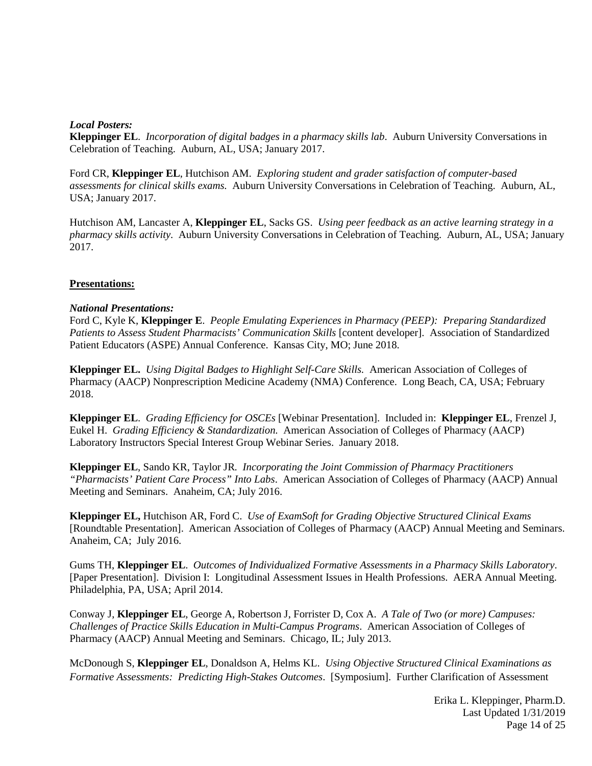## *Local Posters:*

**Kleppinger EL**. *Incorporation of digital badges in a pharmacy skills lab*. Auburn University Conversations in Celebration of Teaching. Auburn, AL, USA; January 2017.

Ford CR, **Kleppinger EL**, Hutchison AM. *Exploring student and grader satisfaction of computer-based assessments for clinical skills exams.* Auburn University Conversations in Celebration of Teaching. Auburn, AL, USA; January 2017.

Hutchison AM, Lancaster A, **Kleppinger EL**, Sacks GS. *Using peer feedback as an active learning strategy in a pharmacy skills activity.* Auburn University Conversations in Celebration of Teaching. Auburn, AL, USA; January 2017.

## **Presentations:**

## *National Presentations:*

Ford C, Kyle K, **Kleppinger E**. *People Emulating Experiences in Pharmacy (PEEP): Preparing Standardized Patients to Assess Student Pharmacists' Communication Skills* [content developer]. Association of Standardized Patient Educators (ASPE) Annual Conference. Kansas City, MO; June 2018.

**Kleppinger EL.** *Using Digital Badges to Highlight Self-Care Skills.* American Association of Colleges of Pharmacy (AACP) Nonprescription Medicine Academy (NMA) Conference. Long Beach, CA, USA; February 2018.

**Kleppinger EL**. *Grading Efficiency for OSCEs* [Webinar Presentation]. Included in: **Kleppinger EL**, Frenzel J, Eukel H. *Grading Efficiency & Standardization.* American Association of Colleges of Pharmacy (AACP) Laboratory Instructors Special Interest Group Webinar Series. January 2018.

**Kleppinger EL**, Sando KR, Taylor JR*. Incorporating the Joint Commission of Pharmacy Practitioners "Pharmacists' Patient Care Process" Into Labs*. American Association of Colleges of Pharmacy (AACP) Annual Meeting and Seminars. Anaheim, CA; July 2016.

**Kleppinger EL,** Hutchison AR, Ford C. *Use of ExamSoft for Grading Objective Structured Clinical Exams* [Roundtable Presentation]. American Association of Colleges of Pharmacy (AACP) Annual Meeting and Seminars. Anaheim, CA; July 2016.

Gums TH, **Kleppinger EL**. *Outcomes of Individualized Formative Assessments in a Pharmacy Skills Laboratory*. [Paper Presentation]. Division I: Longitudinal Assessment Issues in Health Professions. AERA Annual Meeting. Philadelphia, PA, USA; April 2014.

Conway J, **Kleppinger EL**, George A, Robertson J, Forrister D, Cox A. *A Tale of Two (or more) Campuses: Challenges of Practice Skills Education in Multi-Campus Programs*. American Association of Colleges of Pharmacy (AACP) Annual Meeting and Seminars. Chicago, IL; July 2013.

McDonough S, **Kleppinger EL**, Donaldson A, Helms KL. *Using Objective Structured Clinical Examinations as Formative Assessments: Predicting High-Stakes Outcomes*. [Symposium]. Further Clarification of Assessment

> Erika L. Kleppinger, Pharm.D. Last Updated 1/31/2019 Page 14 of 25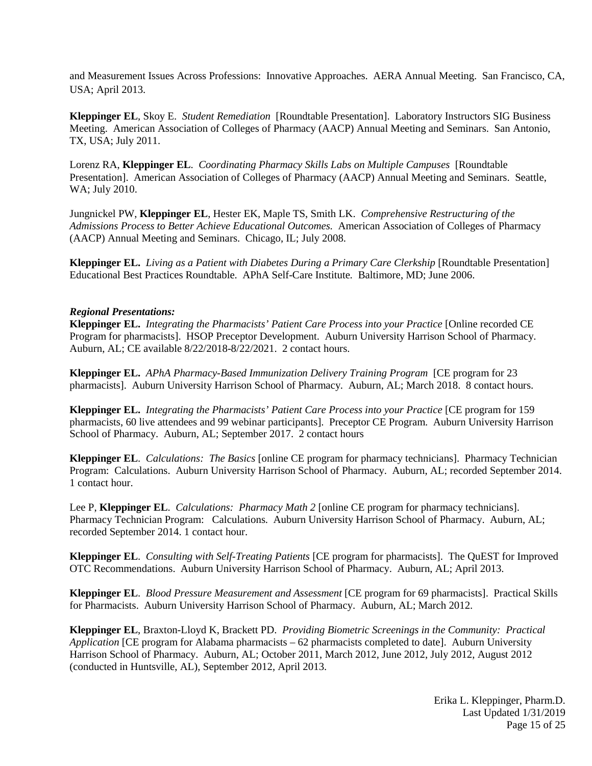and Measurement Issues Across Professions: Innovative Approaches. AERA Annual Meeting. San Francisco, CA, USA; April 2013.

**Kleppinger EL**, Skoy E. *Student Remediation* [Roundtable Presentation]. Laboratory Instructors SIG Business Meeting. American Association of Colleges of Pharmacy (AACP) Annual Meeting and Seminars. San Antonio, TX, USA; July 2011.

Lorenz RA, **Kleppinger EL**. *Coordinating Pharmacy Skills Labs on Multiple Campuses* [Roundtable Presentation]. American Association of Colleges of Pharmacy (AACP) Annual Meeting and Seminars. Seattle, WA; July 2010.

Jungnickel PW, **Kleppinger EL**, Hester EK, Maple TS, Smith LK. *Comprehensive Restructuring of the Admissions Process to Better Achieve Educational Outcomes.* American Association of Colleges of Pharmacy (AACP) Annual Meeting and Seminars. Chicago, IL; July 2008.

**Kleppinger EL.** *Living as a Patient with Diabetes During a Primary Care Clerkship* [Roundtable Presentation] Educational Best Practices Roundtable*.* APhA Self-Care Institute*.* Baltimore, MD; June 2006.

#### *Regional Presentations:*

**Kleppinger EL.** *Integrating the Pharmacists' Patient Care Process into your Practice* [Online recorded CE Program for pharmacists]. HSOP Preceptor Development. Auburn University Harrison School of Pharmacy. Auburn, AL; CE available 8/22/2018-8/22/2021. 2 contact hours.

**Kleppinger EL.** *APhA Pharmacy-Based Immunization Delivery Training Program* [CE program for 23 pharmacists]. Auburn University Harrison School of Pharmacy*.* Auburn, AL; March 2018. 8 contact hours.

**Kleppinger EL.** *Integrating the Pharmacists' Patient Care Process into your Practice* [CE program for 159 pharmacists, 60 live attendees and 99 webinar participants]. Preceptor CE Program. Auburn University Harrison School of Pharmacy. Auburn, AL; September 2017. 2 contact hours

**Kleppinger EL**. *Calculations: The Basics* [online CE program for pharmacy technicians]. Pharmacy Technician Program: Calculations. Auburn University Harrison School of Pharmacy. Auburn, AL; recorded September 2014. 1 contact hour.

Lee P, **Kleppinger EL**. *Calculations: Pharmacy Math 2* [online CE program for pharmacy technicians]. Pharmacy Technician Program: Calculations. Auburn University Harrison School of Pharmacy. Auburn, AL; recorded September 2014. 1 contact hour.

**Kleppinger EL**. *Consulting with Self-Treating Patients* [CE program for pharmacists]. The QuEST for Improved OTC Recommendations. Auburn University Harrison School of Pharmacy. Auburn, AL; April 2013.

**Kleppinger EL**. *Blood Pressure Measurement and Assessment* [CE program for 69 pharmacists]. Practical Skills for Pharmacists. Auburn University Harrison School of Pharmacy. Auburn, AL; March 2012.

**Kleppinger EL**, Braxton-Lloyd K, Brackett PD. *Providing Biometric Screenings in the Community: Practical Application* [CE program for Alabama pharmacists – 62 pharmacists completed to date]. Auburn University Harrison School of Pharmacy. Auburn, AL; October 2011, March 2012, June 2012, July 2012, August 2012 (conducted in Huntsville, AL), September 2012, April 2013.

> Erika L. Kleppinger, Pharm.D. Last Updated 1/31/2019 Page 15 of 25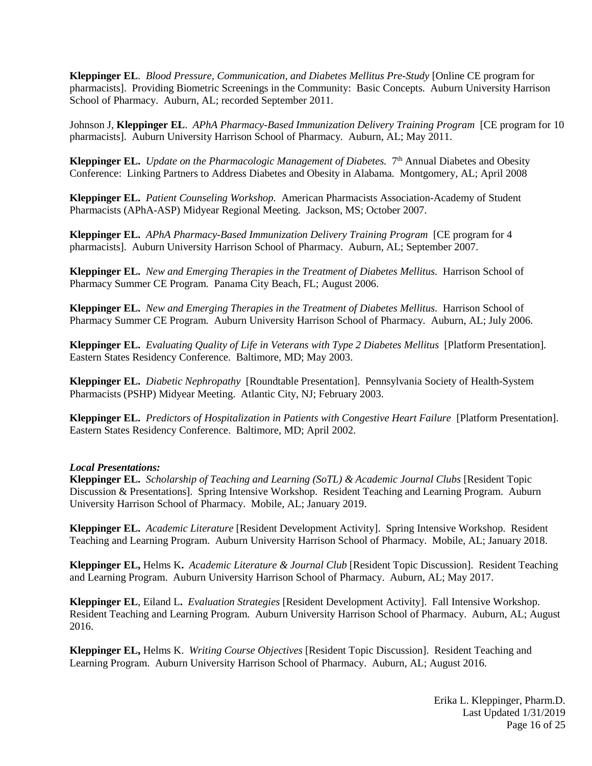**Kleppinger EL**. *Blood Pressure, Communication, and Diabetes Mellitus Pre-Study* [Online CE program for pharmacists]. Providing Biometric Screenings in the Community: Basic Concepts. Auburn University Harrison School of Pharmacy. Auburn, AL; recorded September 2011.

Johnson J, **Kleppinger EL**. *APhA Pharmacy-Based Immunization Delivery Training Program* [CE program for 10 pharmacists]. Auburn University Harrison School of Pharmacy*.* Auburn, AL; May 2011.

**Kleppinger EL.** *Update on the Pharmacologic Management of Diabetes.* 7th Annual Diabetes and Obesity Conference: Linking Partners to Address Diabetes and Obesity in Alabama*.* Montgomery, AL; April 2008

**Kleppinger EL.** *Patient Counseling Workshop.* American Pharmacists Association-Academy of Student Pharmacists (APhA-ASP) Midyear Regional Meeting*.* Jackson, MS; October 2007.

**Kleppinger EL.** *APhA Pharmacy-Based Immunization Delivery Training Program* [CE program for 4 pharmacists]. Auburn University Harrison School of Pharmacy. Auburn, AL; September 2007.

**Kleppinger EL.** *New and Emerging Therapies in the Treatment of Diabetes Mellitus.* Harrison School of Pharmacy Summer CE Program*.* Panama City Beach, FL; August 2006.

**Kleppinger EL.** *New and Emerging Therapies in the Treatment of Diabetes Mellitus.* Harrison School of Pharmacy Summer CE Program*.* Auburn University Harrison School of Pharmacy*.* Auburn, AL; July 2006.

**Kleppinger EL.** *Evaluating Quality of Life in Veterans with Type 2 Diabetes Mellitus* [Platform Presentation]*.*  Eastern States Residency Conference*.* Baltimore, MD; May 2003.

**Kleppinger EL.** *Diabetic Nephropathy* [Roundtable Presentation]. Pennsylvania Society of Health-System Pharmacists (PSHP) Midyear Meeting. Atlantic City, NJ; February 2003.

**Kleppinger EL.** Predictors of Hospitalization in Patients with Congestive Heart Failure [Platform Presentation]. Eastern States Residency Conference. Baltimore, MD; April 2002.

## *Local Presentations:*

**Kleppinger EL.** *Scholarship of Teaching and Learning (SoTL) & Academic Journal Clubs* [Resident Topic Discussion & Presentations]. Spring Intensive Workshop. Resident Teaching and Learning Program. Auburn University Harrison School of Pharmacy. Mobile, AL; January 2019.

**Kleppinger EL.** *Academic Literature* [Resident Development Activity]. Spring Intensive Workshop. Resident Teaching and Learning Program. Auburn University Harrison School of Pharmacy. Mobile, AL; January 2018.

**Kleppinger EL,** Helms K**.** *Academic Literature & Journal Club* [Resident Topic Discussion]. Resident Teaching and Learning Program. Auburn University Harrison School of Pharmacy. Auburn, AL; May 2017.

**Kleppinger EL**, Eiland L**.** *Evaluation Strategies* [Resident Development Activity]. Fall Intensive Workshop. Resident Teaching and Learning Program. Auburn University Harrison School of Pharmacy. Auburn, AL; August 2016.

**Kleppinger EL,** Helms K. *Writing Course Objectives* [Resident Topic Discussion]. Resident Teaching and Learning Program. Auburn University Harrison School of Pharmacy. Auburn, AL; August 2016.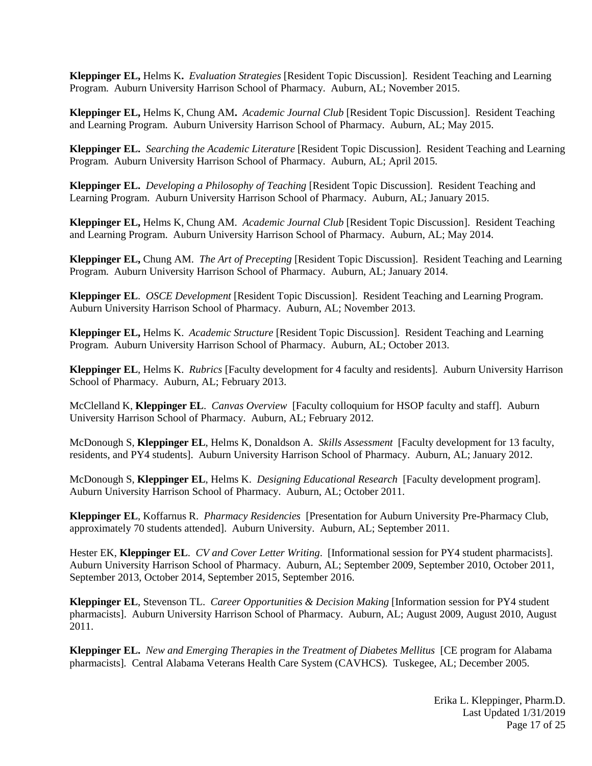**Kleppinger EL,** Helms K**.** *Evaluation Strategies* [Resident Topic Discussion]. Resident Teaching and Learning Program. Auburn University Harrison School of Pharmacy. Auburn, AL; November 2015.

**Kleppinger EL,** Helms K, Chung AM**.** *Academic Journal Club* [Resident Topic Discussion]. Resident Teaching and Learning Program. Auburn University Harrison School of Pharmacy. Auburn, AL; May 2015.

**Kleppinger EL.** *Searching the Academic Literature* [Resident Topic Discussion]. Resident Teaching and Learning Program. Auburn University Harrison School of Pharmacy. Auburn, AL; April 2015.

**Kleppinger EL.** *Developing a Philosophy of Teaching* [Resident Topic Discussion]. Resident Teaching and Learning Program. Auburn University Harrison School of Pharmacy. Auburn, AL; January 2015.

**Kleppinger EL,** Helms K, Chung AM. *Academic Journal Club* [Resident Topic Discussion]. Resident Teaching and Learning Program. Auburn University Harrison School of Pharmacy. Auburn, AL; May 2014.

**Kleppinger EL,** Chung AM. *The Art of Precepting* [Resident Topic Discussion]. Resident Teaching and Learning Program. Auburn University Harrison School of Pharmacy. Auburn, AL; January 2014.

**Kleppinger EL**. *OSCE Development* [Resident Topic Discussion]. Resident Teaching and Learning Program. Auburn University Harrison School of Pharmacy. Auburn, AL; November 2013.

**Kleppinger EL,** Helms K. *Academic Structure* [Resident Topic Discussion]. Resident Teaching and Learning Program. Auburn University Harrison School of Pharmacy. Auburn, AL; October 2013.

**Kleppinger EL**, Helms K. *Rubrics* [Faculty development for 4 faculty and residents]. Auburn University Harrison School of Pharmacy. Auburn, AL; February 2013.

McClelland K, **Kleppinger EL**. *Canvas Overview* [Faculty colloquium for HSOP faculty and staff]. Auburn University Harrison School of Pharmacy. Auburn, AL; February 2012.

McDonough S, **Kleppinger EL**, Helms K, Donaldson A. *Skills Assessment* [Faculty development for 13 faculty, residents, and PY4 students]. Auburn University Harrison School of Pharmacy. Auburn, AL; January 2012.

McDonough S, **Kleppinger EL**, Helms K. *Designing Educational Research* [Faculty development program]. Auburn University Harrison School of Pharmacy. Auburn, AL; October 2011.

**Kleppinger EL**, Koffarnus R. *Pharmacy Residencies* [Presentation for Auburn University Pre-Pharmacy Club, approximately 70 students attended]. Auburn University. Auburn, AL; September 2011.

Hester EK, **Kleppinger EL**. *CV and Cover Letter Writing*. [Informational session for PY4 student pharmacists]. Auburn University Harrison School of Pharmacy. Auburn, AL; September 2009, September 2010, October 2011, September 2013, October 2014, September 2015, September 2016.

**Kleppinger EL**, Stevenson TL. *Career Opportunities & Decision Making* [Information session for PY4 student pharmacists]. Auburn University Harrison School of Pharmacy. Auburn, AL; August 2009, August 2010, August 2011.

**Kleppinger EL.** *New and Emerging Therapies in the Treatment of Diabetes Mellitus* [CE program for Alabama pharmacists]*.* Central Alabama Veterans Health Care System (CAVHCS)*.* Tuskegee, AL; December 2005.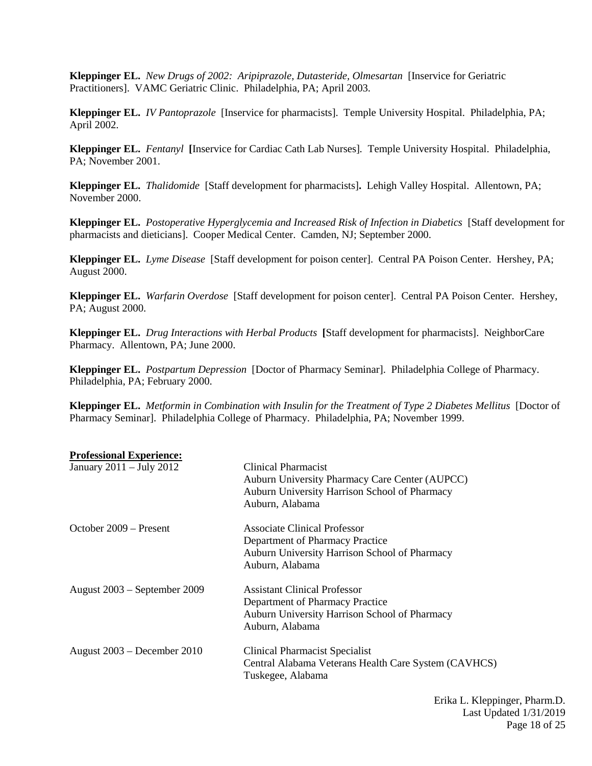**Kleppinger EL.** *New Drugs of 2002: Aripiprazole, Dutasteride, Olmesartan* [Inservice for Geriatric Practitioners]. VAMC Geriatric Clinic. Philadelphia, PA; April 2003.

**Kleppinger EL.** *IV Pantoprazole* [Inservice for pharmacists]. Temple University Hospital. Philadelphia, PA; April 2002.

**Kleppinger EL.** *Fentanyl* **[**Inservice for Cardiac Cath Lab Nurses]*.* Temple University Hospital. Philadelphia, PA; November 2001.

**Kleppinger EL.** *Thalidomide*[Staff development for pharmacists]**.** Lehigh Valley Hospital. Allentown, PA; November 2000.

**Kleppinger EL.** *Postoperative Hyperglycemia and Increased Risk of Infection in Diabetics* [Staff development for pharmacists and dieticians].Cooper Medical Center.Camden, NJ; September 2000.

**Kleppinger EL.** *Lyme Disease*[Staff development for poison center].Central PA Poison Center.Hershey, PA; August 2000.

**Kleppinger EL.** *Warfarin Overdose*[Staff development for poison center].Central PA Poison Center. Hershey, PA; August 2000.

**Kleppinger EL.** *Drug Interactions with Herbal Products* **[**Staff development for pharmacists].NeighborCare Pharmacy.Allentown, PA; June 2000.

**Kleppinger EL.** *Postpartum Depression*[Doctor of Pharmacy Seminar].Philadelphia College of Pharmacy. Philadelphia, PA; February 2000.

**Kleppinger EL.** *Metformin in Combination with Insulin for the Treatment of Type 2 Diabetes Mellitus* [Doctor of Pharmacy Seminar].Philadelphia College of Pharmacy.Philadelphia, PA; November 1999.

| Clinical Pharmacist<br>Auburn University Pharmacy Care Center (AUPCC)<br>Auburn University Harrison School of Pharmacy<br>Auburn, Alabama  |
|--------------------------------------------------------------------------------------------------------------------------------------------|
| Associate Clinical Professor<br>Department of Pharmacy Practice<br>Auburn University Harrison School of Pharmacy<br>Auburn, Alabama        |
| <b>Assistant Clinical Professor</b><br>Department of Pharmacy Practice<br>Auburn University Harrison School of Pharmacy<br>Auburn, Alabama |
| Clinical Pharmacist Specialist<br>Central Alabama Veterans Health Care System (CAVHCS)<br>Tuskegee, Alabama                                |
|                                                                                                                                            |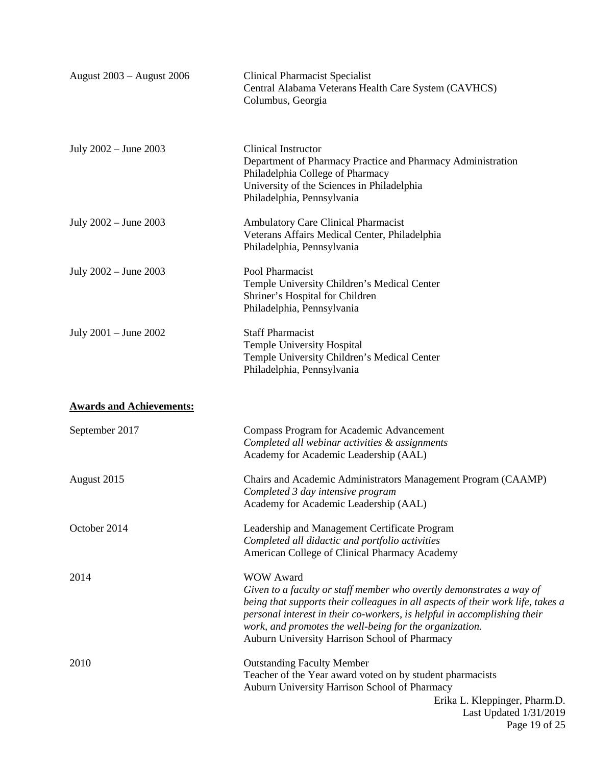| August 2003 - August 2006       | <b>Clinical Pharmacist Specialist</b><br>Central Alabama Veterans Health Care System (CAVHCS)<br>Columbus, Georgia                                                                                                                                                                                                                                                  |
|---------------------------------|---------------------------------------------------------------------------------------------------------------------------------------------------------------------------------------------------------------------------------------------------------------------------------------------------------------------------------------------------------------------|
| July 2002 – June 2003           | Clinical Instructor<br>Department of Pharmacy Practice and Pharmacy Administration<br>Philadelphia College of Pharmacy<br>University of the Sciences in Philadelphia<br>Philadelphia, Pennsylvania                                                                                                                                                                  |
| July 2002 – June 2003           | <b>Ambulatory Care Clinical Pharmacist</b><br>Veterans Affairs Medical Center, Philadelphia<br>Philadelphia, Pennsylvania                                                                                                                                                                                                                                           |
| July 2002 - June 2003           | Pool Pharmacist<br>Temple University Children's Medical Center<br>Shriner's Hospital for Children<br>Philadelphia, Pennsylvania                                                                                                                                                                                                                                     |
| July $2001 -$ June $2002$       | <b>Staff Pharmacist</b><br>Temple University Hospital<br>Temple University Children's Medical Center<br>Philadelphia, Pennsylvania                                                                                                                                                                                                                                  |
| <b>Awards and Achievements:</b> |                                                                                                                                                                                                                                                                                                                                                                     |
| September 2017                  | Compass Program for Academic Advancement<br>Completed all webinar activities & assignments<br>Academy for Academic Leadership (AAL)                                                                                                                                                                                                                                 |
| August 2015                     | Chairs and Academic Administrators Management Program (CAAMP)<br>Completed 3 day intensive program<br>Academy for Academic Leadership (AAL)                                                                                                                                                                                                                         |
| October 2014                    | Leadership and Management Certificate Program<br>Completed all didactic and portfolio activities<br>American College of Clinical Pharmacy Academy                                                                                                                                                                                                                   |
| 2014                            | <b>WOW Award</b><br>Given to a faculty or staff member who overtly demonstrates a way of<br>being that supports their colleagues in all aspects of their work life, takes a<br>personal interest in their co-workers, is helpful in accomplishing their<br>work, and promotes the well-being for the organization.<br>Auburn University Harrison School of Pharmacy |
| 2010                            | <b>Outstanding Faculty Member</b><br>Teacher of the Year award voted on by student pharmacists<br>Auburn University Harrison School of Pharmacy<br>Erika L. Kleppinger, Pharm.D.<br>Last Updated 1/31/2019<br>Page 19 of 25                                                                                                                                         |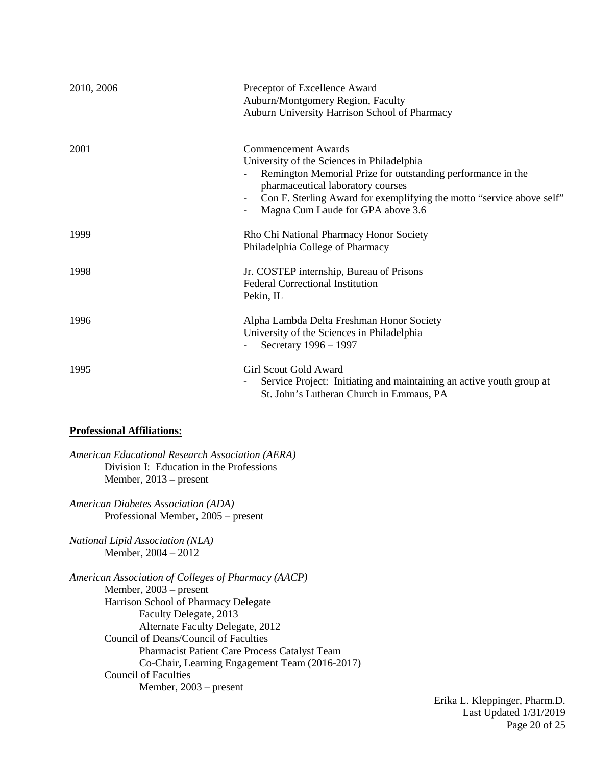| 2010, 2006 | Preceptor of Excellence Award<br>Auburn/Montgomery Region, Faculty<br>Auburn University Harrison School of Pharmacy                                                                                                                                                                 |
|------------|-------------------------------------------------------------------------------------------------------------------------------------------------------------------------------------------------------------------------------------------------------------------------------------|
| 2001       | Commencement Awards<br>University of the Sciences in Philadelphia<br>Remington Memorial Prize for outstanding performance in the<br>pharmaceutical laboratory courses<br>Con F. Sterling Award for exemplifying the motto "service above self"<br>Magna Cum Laude for GPA above 3.6 |
| 1999       | Rho Chi National Pharmacy Honor Society<br>Philadelphia College of Pharmacy                                                                                                                                                                                                         |
| 1998       | Jr. COSTEP internship, Bureau of Prisons<br><b>Federal Correctional Institution</b><br>Pekin, IL                                                                                                                                                                                    |
| 1996       | Alpha Lambda Delta Freshman Honor Society<br>University of the Sciences in Philadelphia<br>Secretary 1996 - 1997                                                                                                                                                                    |
| 1995       | Girl Scout Gold Award<br>Service Project: Initiating and maintaining an active youth group at<br>St. John's Lutheran Church in Emmaus, PA                                                                                                                                           |

## **Professional Affiliations:**

*American Educational Research Association (AERA)* Division I: Education in the Professions Member, 2013 – present

*American Diabetes Association (ADA)* Professional Member, 2005 – present

*National Lipid Association (NLA)* Member, 2004 – 2012

*American Association of Colleges of Pharmacy (AACP)* Member, 2003 – present Harrison School of Pharmacy Delegate Faculty Delegate, 2013 Alternate Faculty Delegate, 2012 Council of Deans/Council of Faculties Pharmacist Patient Care Process Catalyst Team Co-Chair, Learning Engagement Team (2016-2017) Council of Faculties Member, 2003 – present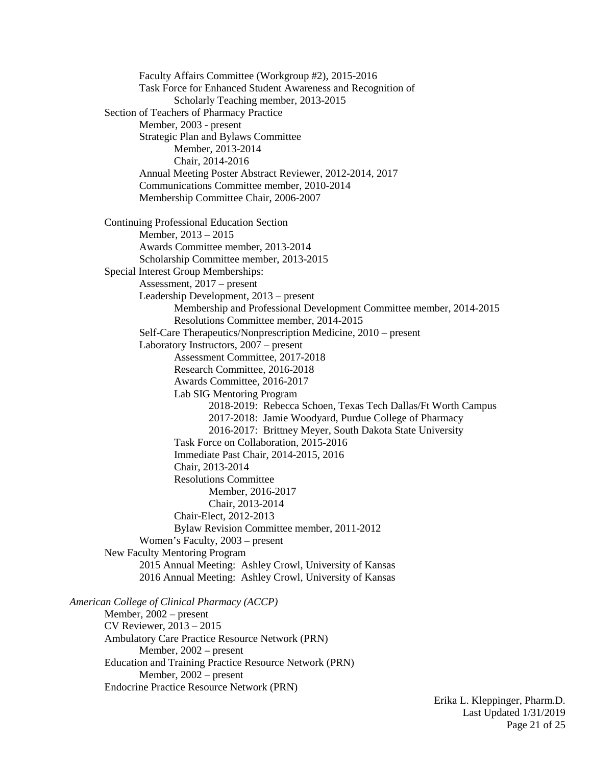Faculty Affairs Committee (Workgroup #2), 2015-2016 Task Force for Enhanced Student Awareness and Recognition of Scholarly Teaching member, 2013-2015 Section of Teachers of Pharmacy Practice Member, 2003 - present Strategic Plan and Bylaws Committee Member, 2013-2014 Chair, 2014-2016 Annual Meeting Poster Abstract Reviewer, 2012-2014, 2017 Communications Committee member, 2010-2014 Membership Committee Chair, 2006-2007 Continuing Professional Education Section Member, 2013 – 2015 Awards Committee member, 2013-2014 Scholarship Committee member, 2013-2015 Special Interest Group Memberships: Assessment, 2017 – present Leadership Development, 2013 – present Membership and Professional Development Committee member, 2014-2015 Resolutions Committee member, 2014-2015 Self-Care Therapeutics/Nonprescription Medicine, 2010 – present Laboratory Instructors, 2007 – present Assessment Committee, 2017-2018 Research Committee, 2016-2018 Awards Committee, 2016-2017 Lab SIG Mentoring Program 2018-2019: Rebecca Schoen, Texas Tech Dallas/Ft Worth Campus 2017-2018: Jamie Woodyard, Purdue College of Pharmacy 2016-2017: Brittney Meyer, South Dakota State University Task Force on Collaboration, 2015-2016 Immediate Past Chair, 2014-2015, 2016 Chair, 2013-2014 Resolutions Committee Member, 2016-2017 Chair, 2013-2014 Chair-Elect, 2012-2013 Bylaw Revision Committee member, 2011-2012 Women's Faculty, 2003 – present New Faculty Mentoring Program 2015 Annual Meeting: Ashley Crowl, University of Kansas 2016 Annual Meeting: Ashley Crowl, University of Kansas *American College of Clinical Pharmacy (ACCP)* Member, 2002 – present CV Reviewer, 2013 – 2015 Ambulatory Care Practice Resource Network (PRN) Member, 2002 – present Education and Training Practice Resource Network (PRN) Member, 2002 – present Endocrine Practice Resource Network (PRN)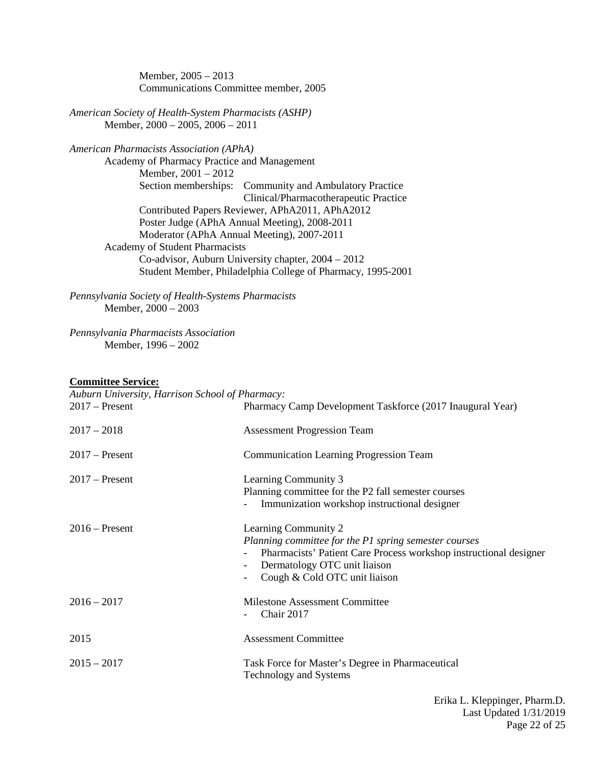Member, 2005 – 2013 Communications Committee member, 2005

*American Society of Health-System Pharmacists (ASHP)* Member, 2000 – 2005, 2006 – 2011

*American Pharmacists Association (APhA)*

Academy of Pharmacy Practice and Management Member, 2001 – 2012 Section memberships: Community and Ambulatory Practice Clinical/Pharmacotherapeutic Practice Contributed Papers Reviewer, APhA2011, APhA2012 Poster Judge (APhA Annual Meeting), 2008-2011 Moderator (APhA Annual Meeting), 2007-2011 Academy of Student Pharmacists Co-advisor, Auburn University chapter, 2004 – 2012 Student Member, Philadelphia College of Pharmacy, 1995-2001

*Pennsylvania Society of Health-Systems Pharmacists* Member, 2000 – 2003

*Pennsylvania Pharmacists Association* Member, 1996 – 2002

#### **Committee Service:**

*Auburn University, Harrison School of Pharmacy:*

| $2017$ – Present | Pharmacy Camp Development Taskforce (2017 Inaugural Year)                                                                                                                                                           |
|------------------|---------------------------------------------------------------------------------------------------------------------------------------------------------------------------------------------------------------------|
| $2017 - 2018$    | <b>Assessment Progression Team</b>                                                                                                                                                                                  |
| $2017$ – Present | <b>Communication Learning Progression Team</b>                                                                                                                                                                      |
| $2017$ – Present | Learning Community 3<br>Planning committee for the P2 fall semester courses<br>Immunization workshop instructional designer                                                                                         |
| $2016$ – Present | Learning Community 2<br>Planning committee for the P1 spring semester courses<br>Pharmacists' Patient Care Process workshop instructional designer<br>Dermatology OTC unit liaison<br>Cough & Cold OTC unit liaison |
| $2016 - 2017$    | <b>Milestone Assessment Committee</b><br>Chair 2017                                                                                                                                                                 |
| 2015             | <b>Assessment Committee</b>                                                                                                                                                                                         |
| $2015 - 2017$    | Task Force for Master's Degree in Pharmaceutical<br><b>Technology and Systems</b>                                                                                                                                   |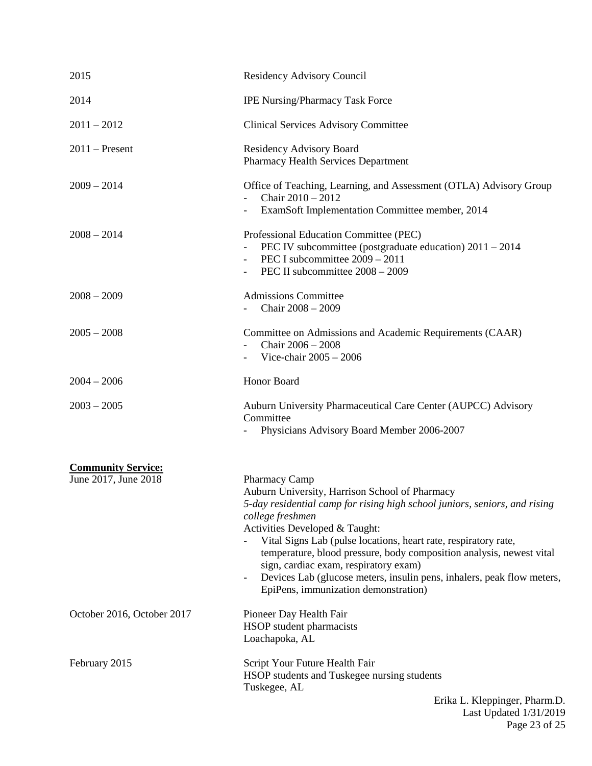| 2015                                              | Residency Advisory Council                                                                                                                                                                                                                                                                                                                                                                                                                                                                                                            |
|---------------------------------------------------|---------------------------------------------------------------------------------------------------------------------------------------------------------------------------------------------------------------------------------------------------------------------------------------------------------------------------------------------------------------------------------------------------------------------------------------------------------------------------------------------------------------------------------------|
| 2014                                              | <b>IPE Nursing/Pharmacy Task Force</b>                                                                                                                                                                                                                                                                                                                                                                                                                                                                                                |
| $2011 - 2012$                                     | <b>Clinical Services Advisory Committee</b>                                                                                                                                                                                                                                                                                                                                                                                                                                                                                           |
| $2011$ – Present                                  | Residency Advisory Board<br><b>Pharmacy Health Services Department</b>                                                                                                                                                                                                                                                                                                                                                                                                                                                                |
| $2009 - 2014$                                     | Office of Teaching, Learning, and Assessment (OTLA) Advisory Group<br>Chair $2010 - 2012$<br>ExamSoft Implementation Committee member, 2014                                                                                                                                                                                                                                                                                                                                                                                           |
| $2008 - 2014$                                     | Professional Education Committee (PEC)<br>PEC IV subcommittee (postgraduate education) $2011 - 2014$<br>PEC I subcommittee 2009 - 2011<br>PEC II subcommittee 2008 - 2009                                                                                                                                                                                                                                                                                                                                                             |
| $2008 - 2009$                                     | <b>Admissions Committee</b><br>Chair 2008 - 2009                                                                                                                                                                                                                                                                                                                                                                                                                                                                                      |
| $2005 - 2008$                                     | Committee on Admissions and Academic Requirements (CAAR)<br>Chair $2006 - 2008$<br>Vice-chair $2005 - 2006$                                                                                                                                                                                                                                                                                                                                                                                                                           |
| $2004 - 2006$                                     | Honor Board                                                                                                                                                                                                                                                                                                                                                                                                                                                                                                                           |
| $2003 - 2005$                                     | Auburn University Pharmaceutical Care Center (AUPCC) Advisory<br>Committee<br>Physicians Advisory Board Member 2006-2007                                                                                                                                                                                                                                                                                                                                                                                                              |
| <b>Community Service:</b><br>June 2017, June 2018 | Pharmacy Camp<br>Auburn University, Harrison School of Pharmacy<br>5-day residential camp for rising high school juniors, seniors, and rising<br>college freshmen<br>Activities Developed & Taught:<br>Vital Signs Lab (pulse locations, heart rate, respiratory rate,<br>temperature, blood pressure, body composition analysis, newest vital<br>sign, cardiac exam, respiratory exam)<br>Devices Lab (glucose meters, insulin pens, inhalers, peak flow meters,<br>$\overline{\phantom{a}}$<br>EpiPens, immunization demonstration) |
| October 2016, October 2017                        | Pioneer Day Health Fair<br>HSOP student pharmacists<br>Loachapoka, AL                                                                                                                                                                                                                                                                                                                                                                                                                                                                 |
| February 2015                                     | Script Your Future Health Fair<br>HSOP students and Tuskegee nursing students<br>Tuskegee, AL<br>Erika L. Kleppinger, Pharm.D.                                                                                                                                                                                                                                                                                                                                                                                                        |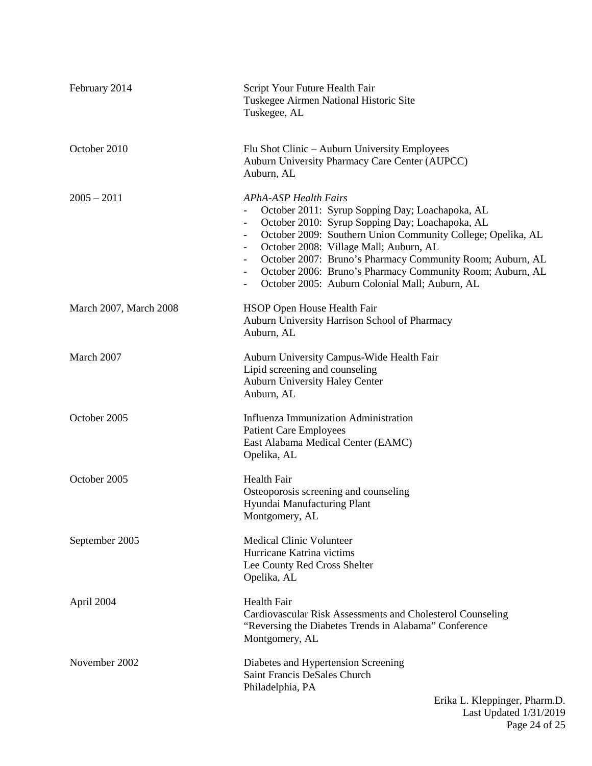| February 2014          | Script Your Future Health Fair<br>Tuskegee Airmen National Historic Site<br>Tuskegee, AL                                                                                                                                                                                                                                                                                                                                                                                                                    |
|------------------------|-------------------------------------------------------------------------------------------------------------------------------------------------------------------------------------------------------------------------------------------------------------------------------------------------------------------------------------------------------------------------------------------------------------------------------------------------------------------------------------------------------------|
| October 2010           | Flu Shot Clinic – Auburn University Employees<br>Auburn University Pharmacy Care Center (AUPCC)<br>Auburn, AL                                                                                                                                                                                                                                                                                                                                                                                               |
| $2005 - 2011$          | <b>APhA-ASP Health Fairs</b><br>October 2011: Syrup Sopping Day; Loachapoka, AL<br>October 2010: Syrup Sopping Day; Loachapoka, AL<br>October 2009: Southern Union Community College; Opelika, AL<br>October 2008: Village Mall; Auburn, AL<br>October 2007: Bruno's Pharmacy Community Room; Auburn, AL<br>$\overline{\phantom{a}}$<br>October 2006: Bruno's Pharmacy Community Room; Auburn, AL<br>$\overline{\phantom{a}}$<br>October 2005: Auburn Colonial Mall; Auburn, AL<br>$\overline{\phantom{a}}$ |
| March 2007, March 2008 | HSOP Open House Health Fair<br>Auburn University Harrison School of Pharmacy<br>Auburn, AL                                                                                                                                                                                                                                                                                                                                                                                                                  |
| March 2007             | Auburn University Campus-Wide Health Fair<br>Lipid screening and counseling<br><b>Auburn University Haley Center</b><br>Auburn, AL                                                                                                                                                                                                                                                                                                                                                                          |
| October 2005           | <b>Influenza Immunization Administration</b><br><b>Patient Care Employees</b><br>East Alabama Medical Center (EAMC)<br>Opelika, AL                                                                                                                                                                                                                                                                                                                                                                          |
| October 2005           | <b>Health Fair</b><br>Osteoporosis screening and counseling<br>Hyundai Manufacturing Plant<br>Montgomery, AL                                                                                                                                                                                                                                                                                                                                                                                                |
| September 2005         | <b>Medical Clinic Volunteer</b><br>Hurricane Katrina victims<br>Lee County Red Cross Shelter<br>Opelika, AL                                                                                                                                                                                                                                                                                                                                                                                                 |
| April 2004             | Health Fair<br>Cardiovascular Risk Assessments and Cholesterol Counseling<br>"Reversing the Diabetes Trends in Alabama" Conference<br>Montgomery, AL                                                                                                                                                                                                                                                                                                                                                        |
| November 2002          | Diabetes and Hypertension Screening<br>Saint Francis DeSales Church<br>Philadelphia, PA<br>Erika L. Kleppinger, Pharm.D.                                                                                                                                                                                                                                                                                                                                                                                    |